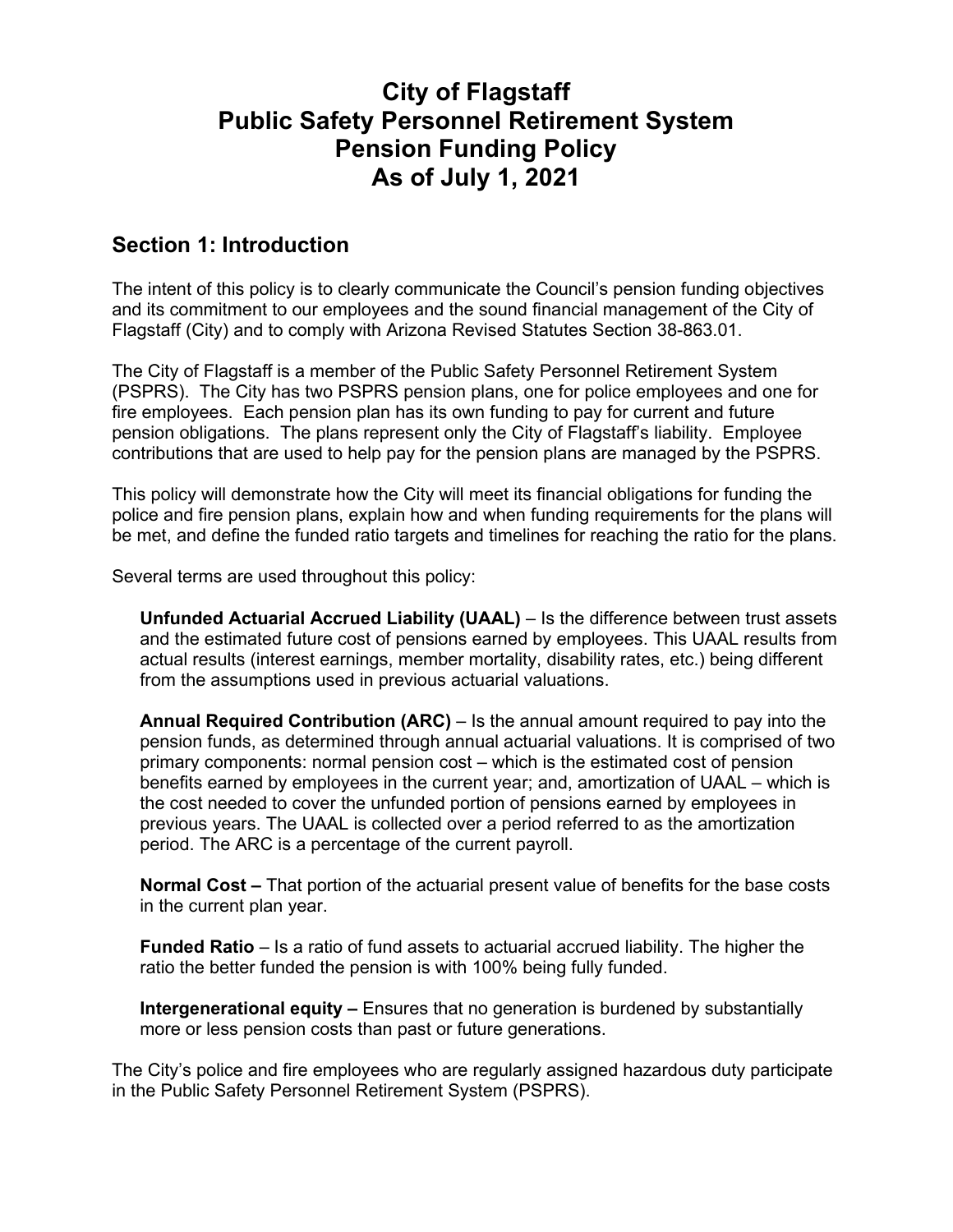## **City of Flagstaff Public Safety Personnel Retirement System Pension Funding Policy As of July 1, 2021**

## **Section 1: Introduction**

The intent of this policy is to clearly communicate the Council's pension funding objectives and its commitment to our employees and the sound financial management of the City of Flagstaff (City) and to comply with Arizona Revised Statutes Section 38-863.01.

The City of Flagstaff is a member of the Public Safety Personnel Retirement System (PSPRS). The City has two PSPRS pension plans, one for police employees and one for fire employees. Each pension plan has its own funding to pay for current and future pension obligations. The plans represent only the City of Flagstaff's liability. Employee contributions that are used to help pay for the pension plans are managed by the PSPRS.

This policy will demonstrate how the City will meet its financial obligations for funding the police and fire pension plans, explain how and when funding requirements for the plans will be met, and define the funded ratio targets and timelines for reaching the ratio for the plans.

Several terms are used throughout this policy:

**Unfunded Actuarial Accrued Liability (UAAL)** – Is the difference between trust assets and the estimated future cost of pensions earned by employees. This UAAL results from actual results (interest earnings, member mortality, disability rates, etc.) being different from the assumptions used in previous actuarial valuations.

**Annual Required Contribution (ARC)** – Is the annual amount required to pay into the pension funds, as determined through annual actuarial valuations. It is comprised of two primary components: normal pension cost – which is the estimated cost of pension benefits earned by employees in the current year; and, amortization of UAAL – which is the cost needed to cover the unfunded portion of pensions earned by employees in previous years. The UAAL is collected over a period referred to as the amortization period. The ARC is a percentage of the current payroll.

**Normal Cost –** That portion of the actuarial present value of benefits for the base costs in the current plan year.

**Funded Ratio** – Is a ratio of fund assets to actuarial accrued liability. The higher the ratio the better funded the pension is with 100% being fully funded.

**Intergenerational equity –** Ensures that no generation is burdened by substantially more or less pension costs than past or future generations.

The City's police and fire employees who are regularly assigned hazardous duty participate in the Public Safety Personnel Retirement System (PSPRS).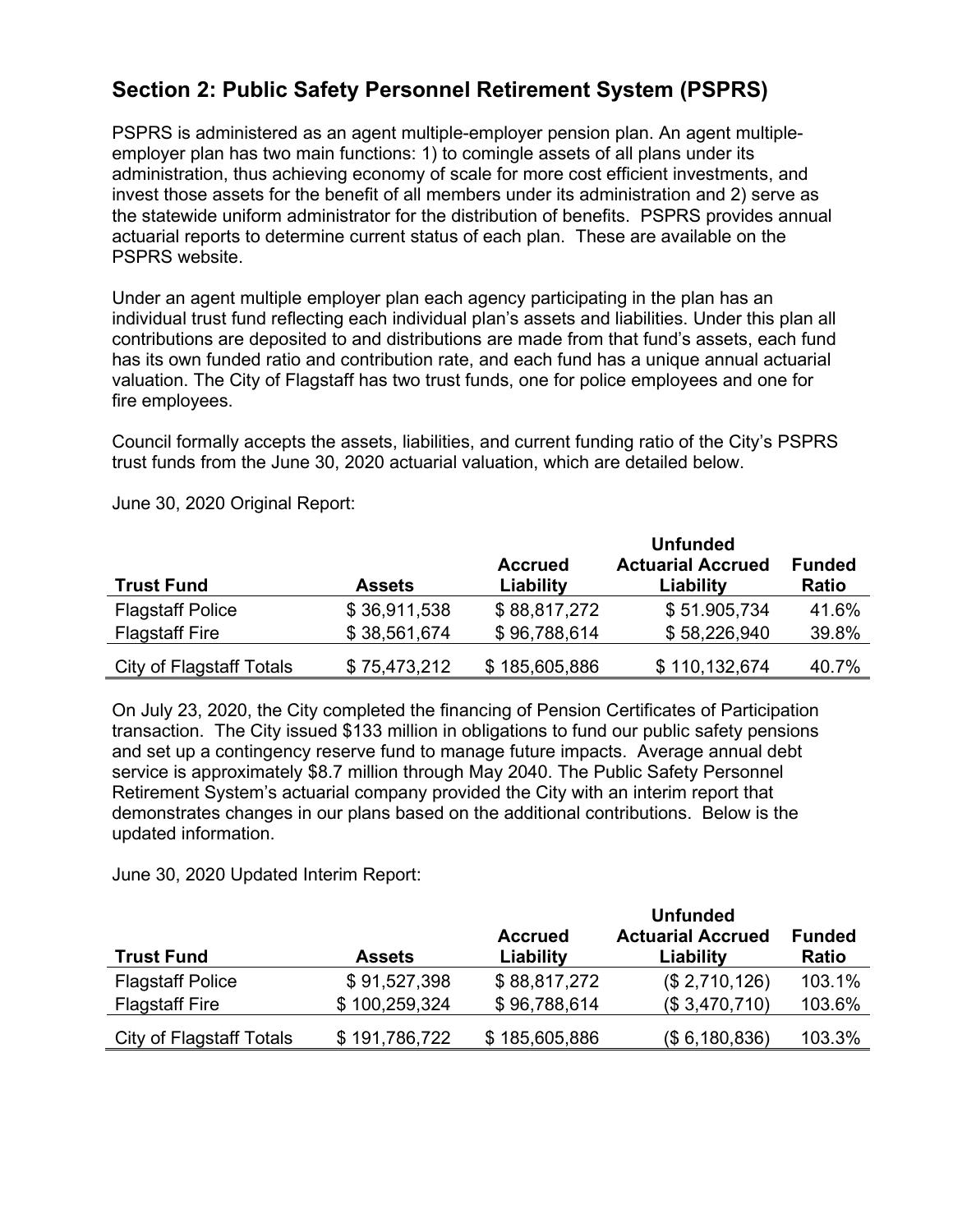## **Section 2: Public Safety Personnel Retirement System (PSPRS)**

PSPRS is administered as an agent multiple-employer pension plan. An agent multipleemployer plan has two main functions: 1) to comingle assets of all plans under its administration, thus achieving economy of scale for more cost efficient investments, and invest those assets for the benefit of all members under its administration and 2) serve as the statewide uniform administrator for the distribution of benefits. PSPRS provides annual actuarial reports to determine current status of each plan. These are available on the PSPRS website.

Under an agent multiple employer plan each agency participating in the plan has an individual trust fund reflecting each individual plan's assets and liabilities. Under this plan all contributions are deposited to and distributions are made from that fund's assets, each fund has its own funded ratio and contribution rate, and each fund has a unique annual actuarial valuation. The City of Flagstaff has two trust funds, one for police employees and one for fire employees.

Council formally accepts the assets, liabilities, and current funding ratio of the City's PSPRS trust funds from the June 30, 2020 actuarial valuation, which are detailed below.

|                                 |               |                | <b>Unfunded</b>          |               |
|---------------------------------|---------------|----------------|--------------------------|---------------|
|                                 |               | <b>Accrued</b> | <b>Actuarial Accrued</b> | <b>Funded</b> |
| <b>Trust Fund</b>               | <b>Assets</b> | Liability      | Liability                | <b>Ratio</b>  |
| <b>Flagstaff Police</b>         | \$36,911,538  | \$88,817,272   | \$51.905,734             | 41.6%         |
| <b>Flagstaff Fire</b>           | \$38,561,674  | \$96,788,614   | \$58,226,940             | 39.8%         |
| <b>City of Flagstaff Totals</b> | \$75,473,212  | \$185,605,886  | \$110,132,674            | 40.7%         |

June 30, 2020 Original Report:

On July 23, 2020, the City completed the financing of Pension Certificates of Participation transaction. The City issued \$133 million in obligations to fund our public safety pensions and set up a contingency reserve fund to manage future impacts. Average annual debt service is approximately \$8.7 million through May 2040. The Public Safety Personnel Retirement System's actuarial company provided the City with an interim report that demonstrates changes in our plans based on the additional contributions. Below is the updated information.

June 30, 2020 Updated Interim Report:

|                                 |               |                | <b>Unfunded</b>          |               |  |
|---------------------------------|---------------|----------------|--------------------------|---------------|--|
|                                 |               | <b>Accrued</b> | <b>Actuarial Accrued</b> | <b>Funded</b> |  |
| <b>Trust Fund</b>               | <b>Assets</b> | Liability      | Liability                | <b>Ratio</b>  |  |
| <b>Flagstaff Police</b>         | \$91,527,398  | \$88,817,272   | (\$2,710,126)            | 103.1%        |  |
| <b>Flagstaff Fire</b>           | \$100,259,324 | \$96,788,614   | (\$3,470,710)            | 103.6%        |  |
| <b>City of Flagstaff Totals</b> | \$191,786,722 | \$185,605,886  | (\$6,180,836)            | 103.3%        |  |